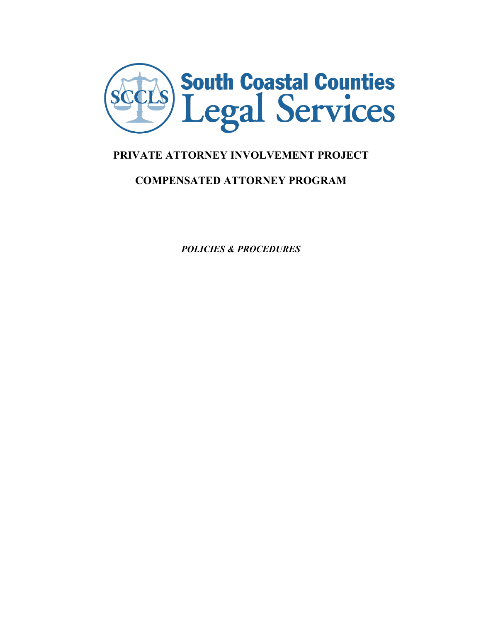

# **PRIVATE ATTORNEY INVOLVEMENT PROJECT**

# **COMPENSATED ATTORNEY PROGRAM**

*POLICIES & PROCEDURES*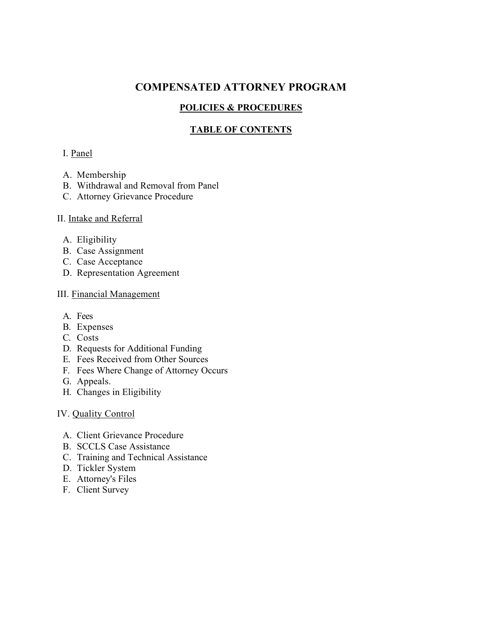# **COMPENSATED ATTORNEY PROGRAM**

# **POLICIES & PROCEDURES**

# **TABLE OF CONTENTS**

# I. Panel

- A. Membership
- B. Withdrawal and Removal from Panel
- C. Attorney Grievance Procedure

# II. Intake and Referral

- A. Eligibility
- B. Case Assignment
- C. Case Acceptance
- D. Representation Agreement

# III. Financial Management

- A. Fees
- B. Expenses
- C. Costs
- D. Requests for Additional Funding
- E. Fees Received from Other Sources
- F. Fees Where Change of Attorney Occurs
- G. Appeals.
- H. Changes in Eligibility

# IV. Quality Control

- A. Client Grievance Procedure
- B. SCCLS Case Assistance
- C. Training and Technical Assistance
- D. Tickler System
- E. Attorney's Files
- F. Client Survey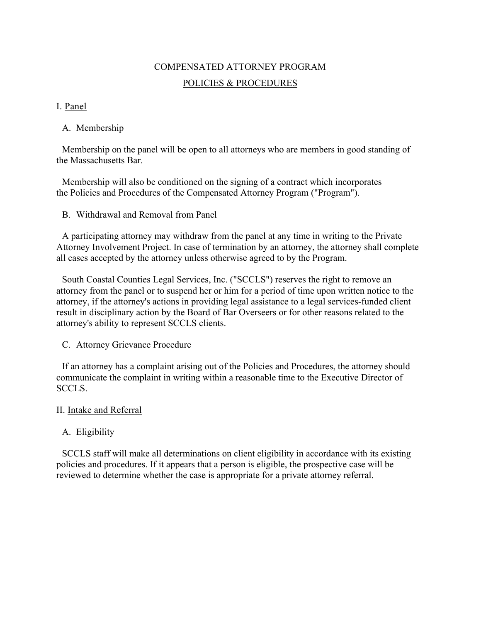# COMPENSATED ATTORNEY PROGRAM POLICIES & PROCEDURES

# I. Panel

### A. Membership

Membership on the panel will be open to all attorneys who are members in good standing of the Massachusetts Bar.

Membership will also be conditioned on the signing of a contract which incorporates the Policies and Procedures of the Compensated Attorney Program ("Program").

B. Withdrawal and Removal from Panel

A participating attorney may withdraw from the panel at any time in writing to the Private Attorney Involvement Project. In case of termination by an attorney, the attorney shall complete all cases accepted by the attorney unless otherwise agreed to by the Program.

South Coastal Counties Legal Services, Inc. ("SCCLS") reserves the right to remove an attorney from the panel or to suspend her or him for a period of time upon written notice to the attorney, if the attorney's actions in providing legal assistance to a legal services-funded client result in disciplinary action by the Board of Bar Overseers or for other reasons related to the attorney's ability to represent SCCLS clients.

C. Attorney Grievance Procedure

If an attorney has a complaint arising out of the Policies and Procedures, the attorney should communicate the complaint in writing within a reasonable time to the Executive Director of SCCLS.

#### II. Intake and Referral

# A. Eligibility

SCCLS staff will make all determinations on client eligibility in accordance with its existing policies and procedures. If it appears that a person is eligible, the prospective case will be reviewed to determine whether the case is appropriate for a private attorney referral.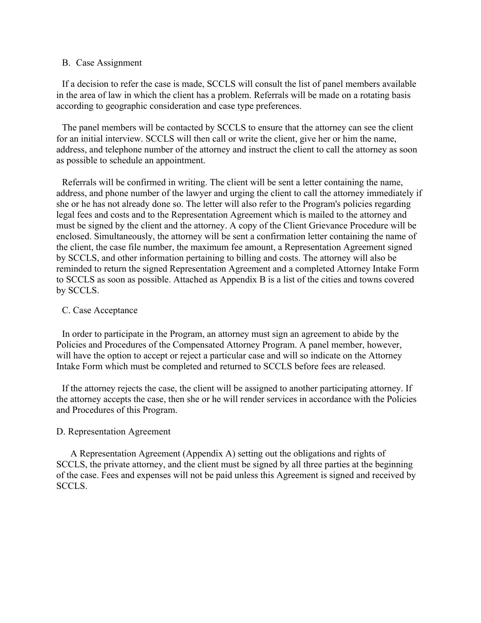#### B. Case Assignment

If a decision to refer the case is made, SCCLS will consult the list of panel members available in the area of law in which the client has a problem. Referrals will be made on a rotating basis according to geographic consideration and case type preferences.

The panel members will be contacted by SCCLS to ensure that the attorney can see the client for an initial interview. SCCLS will then call or write the client, give her or him the name, address, and telephone number of the attorney and instruct the client to call the attorney as soon as possible to schedule an appointment.

Referrals will be confirmed in writing. The client will be sent a letter containing the name, address, and phone number of the lawyer and urging the client to call the attorney immediately if she or he has not already done so. The letter will also refer to the Program's policies regarding legal fees and costs and to the Representation Agreement which is mailed to the attorney and must be signed by the client and the attorney. A copy of the Client Grievance Procedure will be enclosed. Simultaneously, the attorney will be sent a confirmation letter containing the name of the client, the case file number, the maximum fee amount, a Representation Agreement signed by SCCLS, and other information pertaining to billing and costs. The attorney will also be reminded to return the signed Representation Agreement and a completed Attorney Intake Form to SCCLS as soon as possible. Attached as Appendix B is a list of the cities and towns covered by SCCLS.

#### C. Case Acceptance

In order to participate in the Program, an attorney must sign an agreement to abide by the Policies and Procedures of the Compensated Attorney Program. A panel member, however, will have the option to accept or reject a particular case and will so indicate on the Attorney Intake Form which must be completed and returned to SCCLS before fees are released.

If the attorney rejects the case, the client will be assigned to another participating attorney. If the attorney accepts the case, then she or he will render services in accordance with the Policies and Procedures of this Program.

#### D. Representation Agreement

A Representation Agreement (Appendix A) setting out the obligations and rights of SCCLS, the private attorney, and the client must be signed by all three parties at the beginning of the case. Fees and expenses will not be paid unless this Agreement is signed and received by SCCLS.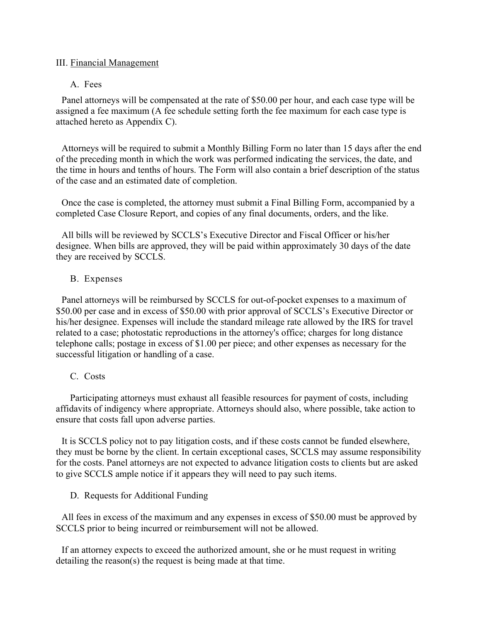#### III. Financial Management

#### A. Fees

Panel attorneys will be compensated at the rate of \$50.00 per hour, and each case type will be assigned a fee maximum (A fee schedule setting forth the fee maximum for each case type is attached hereto as Appendix C).

Attorneys will be required to submit a Monthly Billing Form no later than 15 days after the end of the preceding month in which the work was performed indicating the services, the date, and the time in hours and tenths of hours. The Form will also contain a brief description of the status of the case and an estimated date of completion.

Once the case is completed, the attorney must submit a Final Billing Form, accompanied by a completed Case Closure Report, and copies of any final documents, orders, and the like.

All bills will be reviewed by SCCLS's Executive Director and Fiscal Officer or his/her designee. When bills are approved, they will be paid within approximately 30 days of the date they are received by SCCLS.

#### B. Expenses

Panel attorneys will be reimbursed by SCCLS for out-of-pocket expenses to a maximum of \$50.00 per case and in excess of \$50.00 with prior approval of SCCLS's Executive Director or his/her designee. Expenses will include the standard mileage rate allowed by the IRS for travel related to a case; photostatic reproductions in the attorney's office; charges for long distance telephone calls; postage in excess of \$1.00 per piece; and other expenses as necessary for the successful litigation or handling of a case.

#### C. Costs

Participating attorneys must exhaust all feasible resources for payment of costs, including affidavits of indigency where appropriate. Attorneys should also, where possible, take action to ensure that costs fall upon adverse parties.

It is SCCLS policy not to pay litigation costs, and if these costs cannot be funded elsewhere, they must be borne by the client. In certain exceptional cases, SCCLS may assume responsibility for the costs. Panel attorneys are not expected to advance litigation costs to clients but are asked to give SCCLS ample notice if it appears they will need to pay such items.

D. Requests for Additional Funding

All fees in excess of the maximum and any expenses in excess of \$50.00 must be approved by SCCLS prior to being incurred or reimbursement will not be allowed.

If an attorney expects to exceed the authorized amount, she or he must request in writing detailing the reason(s) the request is being made at that time.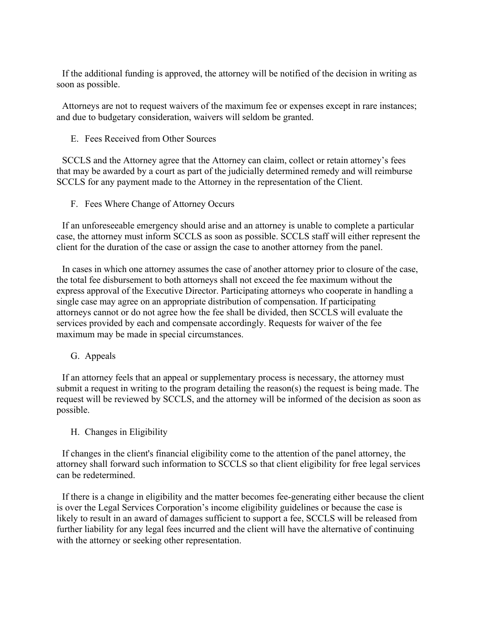If the additional funding is approved, the attorney will be notified of the decision in writing as soon as possible.

Attorneys are not to request waivers of the maximum fee or expenses except in rare instances; and due to budgetary consideration, waivers will seldom be granted.

E. Fees Received from Other Sources

SCCLS and the Attorney agree that the Attorney can claim, collect or retain attorney's fees that may be awarded by a court as part of the judicially determined remedy and will reimburse SCCLS for any payment made to the Attorney in the representation of the Client.

F. Fees Where Change of Attorney Occurs

If an unforeseeable emergency should arise and an attorney is unable to complete a particular case, the attorney must inform SCCLS as soon as possible. SCCLS staff will either represent the client for the duration of the case or assign the case to another attorney from the panel.

In cases in which one attorney assumes the case of another attorney prior to closure of the case, the total fee disbursement to both attorneys shall not exceed the fee maximum without the express approval of the Executive Director. Participating attorneys who cooperate in handling a single case may agree on an appropriate distribution of compensation. If participating attorneys cannot or do not agree how the fee shall be divided, then SCCLS will evaluate the services provided by each and compensate accordingly. Requests for waiver of the fee maximum may be made in special circumstances.

G. Appeals

If an attorney feels that an appeal or supplementary process is necessary, the attorney must submit a request in writing to the program detailing the reason(s) the request is being made. The request will be reviewed by SCCLS, and the attorney will be informed of the decision as soon as possible.

#### H. Changes in Eligibility

If changes in the client's financial eligibility come to the attention of the panel attorney, the attorney shall forward such information to SCCLS so that client eligibility for free legal services can be redetermined.

If there is a change in eligibility and the matter becomes fee-generating either because the client is over the Legal Services Corporation's income eligibility guidelines or because the case is likely to result in an award of damages sufficient to support a fee, SCCLS will be released from further liability for any legal fees incurred and the client will have the alternative of continuing with the attorney or seeking other representation.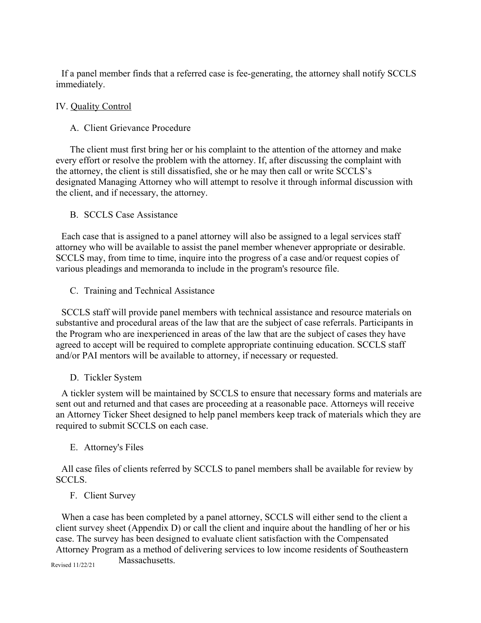If a panel member finds that a referred case is fee-generating, the attorney shall notify SCCLS immediately.

### IV. Quality Control

### A. Client Grievance Procedure

The client must first bring her or his complaint to the attention of the attorney and make every effort or resolve the problem with the attorney. If, after discussing the complaint with the attorney, the client is still dissatisfied, she or he may then call or write SCCLS's designated Managing Attorney who will attempt to resolve it through informal discussion with the client, and if necessary, the attorney.

#### B. SCCLS Case Assistance

Each case that is assigned to a panel attorney will also be assigned to a legal services staff attorney who will be available to assist the panel member whenever appropriate or desirable. SCCLS may, from time to time, inquire into the progress of a case and/or request copies of various pleadings and memoranda to include in the program's resource file.

C. Training and Technical Assistance

SCCLS staff will provide panel members with technical assistance and resource materials on substantive and procedural areas of the law that are the subject of case referrals. Participants in the Program who are inexperienced in areas of the law that are the subject of cases they have agreed to accept will be required to complete appropriate continuing education. SCCLS staff and/or PAI mentors will be available to attorney, if necessary or requested.

# D. Tickler System

A tickler system will be maintained by SCCLS to ensure that necessary forms and materials are sent out and returned and that cases are proceeding at a reasonable pace. Attorneys will receive an Attorney Ticker Sheet designed to help panel members keep track of materials which they are required to submit SCCLS on each case.

# E. Attorney's Files

All case files of clients referred by SCCLS to panel members shall be available for review by SCCLS.

# F. Client Survey

When a case has been completed by a panel attorney, SCCLS will either send to the client a client survey sheet (Appendix D) or call the client and inquire about the handling of her or his case. The survey has been designed to evaluate client satisfaction with the Compensated Attorney Program as a method of delivering services to low income residents of Southeastern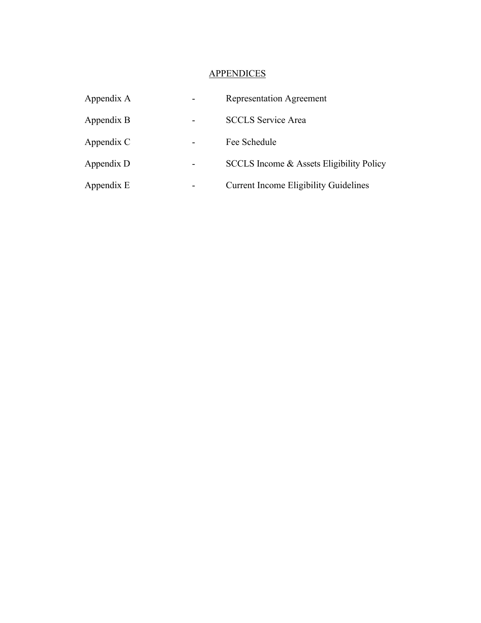# **APPENDICES**

| Appendix A | <b>Representation Agreement</b>              |
|------------|----------------------------------------------|
| Appendix B | <b>SCCLS Service Area</b>                    |
| Appendix C | Fee Schedule                                 |
| Appendix D | SCCLS Income & Assets Eligibility Policy     |
| Appendix E | <b>Current Income Eligibility Guidelines</b> |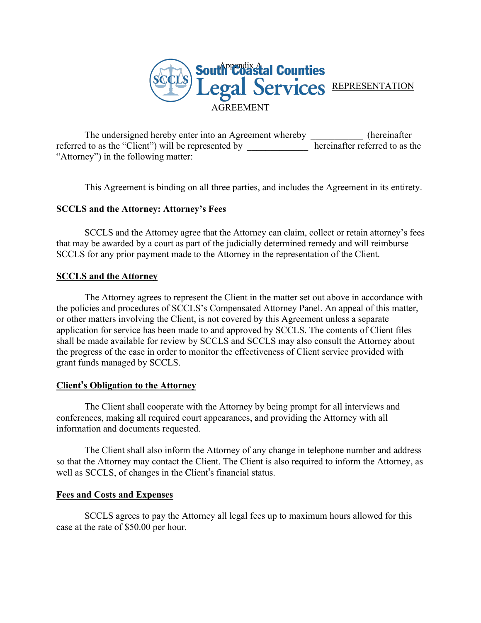

The undersigned hereby enter into an Agreement whereby \_\_\_\_\_\_\_\_\_\_\_ (hereinafter referred to as the "Client") will be represented by **hereinafter referred** to as the "Attorney") in the following matter:

This Agreement is binding on all three parties, and includes the Agreement in its entirety.

#### **SCCLS and the Attorney: Attorney's Fees**

SCCLS and the Attorney agree that the Attorney can claim, collect or retain attorney's fees that may be awarded by a court as part of the judicially determined remedy and will reimburse SCCLS for any prior payment made to the Attorney in the representation of the Client.

#### **SCCLS and the Attorney**

The Attorney agrees to represent the Client in the matter set out above in accordance with the policies and procedures of SCCLS's Compensated Attorney Panel. An appeal of this matter, or other matters involving the Client, is not covered by this Agreement unless a separate application for service has been made to and approved by SCCLS. The contents of Client files shall be made available for review by SCCLS and SCCLS may also consult the Attorney about the progress of the case in order to monitor the effectiveness of Client service provided with grant funds managed by SCCLS.

#### **Client's Obligation to the Attorney**

The Client shall cooperate with the Attorney by being prompt for all interviews and conferences, making all required court appearances, and providing the Attorney with all information and documents requested.

The Client shall also inform the Attorney of any change in telephone number and address so that the Attorney may contact the Client. The Client is also required to inform the Attorney, as well as SCCLS, of changes in the Client's financial status.

#### **Fees and Costs and Expenses**

SCCLS agrees to pay the Attorney all legal fees up to maximum hours allowed for this case at the rate of \$50.00 per hour.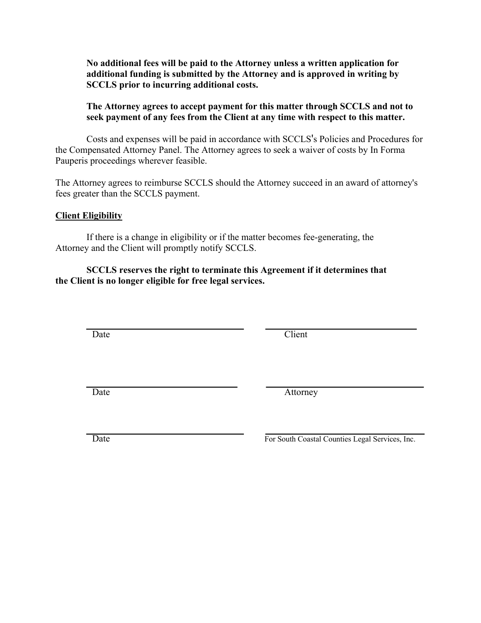**No additional fees will be paid to the Attorney unless a written application for additional funding is submitted by the Attorney and is approved in writing by SCCLS prior to incurring additional costs.**

#### **The Attorney agrees to accept payment for this matter through SCCLS and not to seek payment of any fees from the Client at any time with respect to this matter.**

Costs and expenses will be paid in accordance with SCCLS's Policies and Procedures for the Compensated Attorney Panel. The Attorney agrees to seek a waiver of costs by In Forma Pauperis proceedings wherever feasible.

The Attorney agrees to reimburse SCCLS should the Attorney succeed in an award of attorney's fees greater than the SCCLS payment.

#### **Client Eligibility**

If there is a change in eligibility or if the matter becomes fee-generating, the Attorney and the Client will promptly notify SCCLS.

#### **SCCLS reserves the right to terminate this Agreement if it determines that the Client is no longer eligible for free legal services.**

Date Client

Date Attorney

Date **For South Coastal Counties Legal Services**, Inc.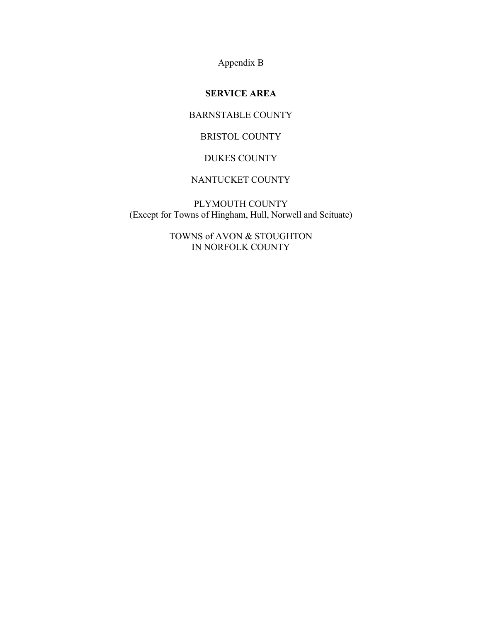Appendix B

# **SERVICE AREA**

# BARNSTABLE COUNTY

# BRISTOL COUNTY

#### DUKES COUNTY

# NANTUCKET COUNTY

PLYMOUTH COUNTY (Except for Towns of Hingham, Hull, Norwell and Scituate)

> TOWNS of AVON & STOUGHTON IN NORFOLK COUNTY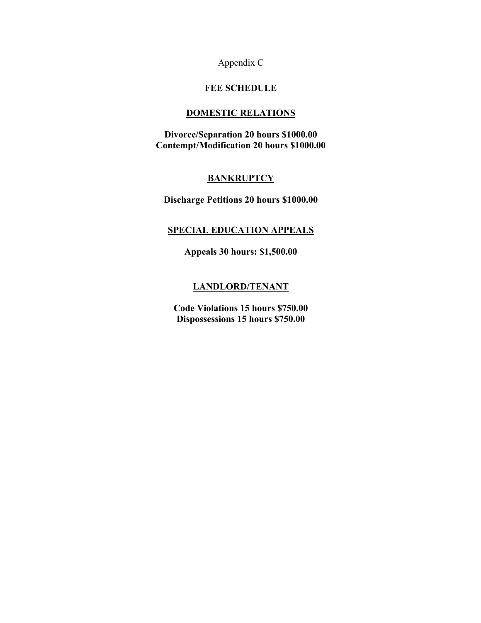Appendix C

#### **FEE SCHEDULE**

#### **DOMESTIC RELATIONS**

**Divorce/Separation 20 hours \$1000.00 Contempt/Modification 20 hours \$1000.00**

### **BANKRUPTCY**

**Discharge Petitions 20 hours \$1000.00**

### **SPECIAL EDUCATION APPEALS**

**Appeals 30 hours: \$1,500.00**

#### **LANDLORD/TENANT**

**Code Violations 15 hours \$750.00 Dispossessions 15 hours \$750.00**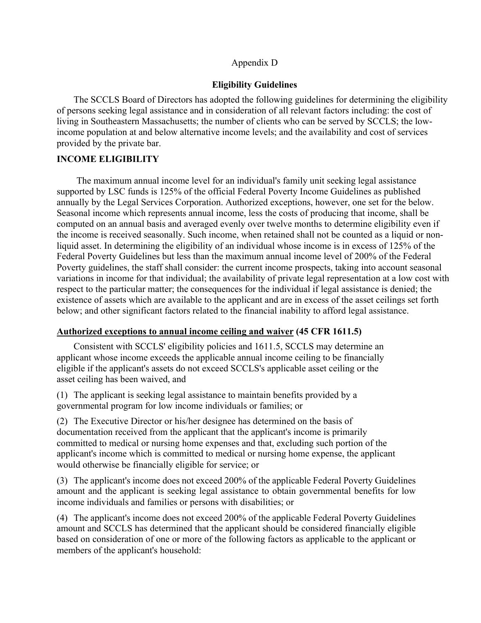#### Appendix D

#### **Eligibility Guidelines**

The SCCLS Board of Directors has adopted the following guidelines for determining the eligibility of persons seeking legal assistance and in consideration of all relevant factors including: the cost of living in Southeastern Massachusetts; the number of clients who can be served by SCCLS; the lowincome population at and below alternative income levels; and the availability and cost of services provided by the private bar.

#### **INCOME ELIGIBILITY**

The maximum annual income level for an individual's family unit seeking legal assistance supported by LSC funds is 125% of the official Federal Poverty Income Guidelines as published annually by the Legal Services Corporation. Authorized exceptions, however, one set for the below. Seasonal income which represents annual income, less the costs of producing that income, shall be computed on an annual basis and averaged evenly over twelve months to determine eligibility even if the income is received seasonally. Such income, when retained shall not be counted as a liquid or nonliquid asset. In determining the eligibility of an individual whose income is in excess of 125% of the Federal Poverty Guidelines but less than the maximum annual income level of 200% of the Federal Poverty guidelines, the staff shall consider: the current income prospects, taking into account seasonal variations in income for that individual; the availability of private legal representation at a low cost with respect to the particular matter; the consequences for the individual if legal assistance is denied; the existence of assets which are available to the applicant and are in excess of the asset ceilings set forth below; and other significant factors related to the financial inability to afford legal assistance.

#### **Authorized exceptions to annual income ceiling and waiver (45 CFR 1611.5)**

Consistent with SCCLS' eligibility policies and 1611.5, SCCLS may determine an applicant whose income exceeds the applicable annual income ceiling to be financially eligible if the applicant's assets do not exceed SCCLS's applicable asset ceiling or the asset ceiling has been waived, and

(1) The applicant is seeking legal assistance to maintain benefits provided by a governmental program for low income individuals or families; or

(2) The Executive Director or his/her designee has determined on the basis of documentation received from the applicant that the applicant's income is primarily committed to medical or nursing home expenses and that, excluding such portion of the applicant's income which is committed to medical or nursing home expense, the applicant would otherwise be financially eligible for service; or

(3) The applicant's income does not exceed 200% of the applicable Federal Poverty Guidelines amount and the applicant is seeking legal assistance to obtain governmental benefits for low income individuals and families or persons with disabilities; or

(4) The applicant's income does not exceed 200% of the applicable Federal Poverty Guidelines amount and SCCLS has determined that the applicant should be considered financially eligible based on consideration of one or more of the following factors as applicable to the applicant or members of the applicant's household: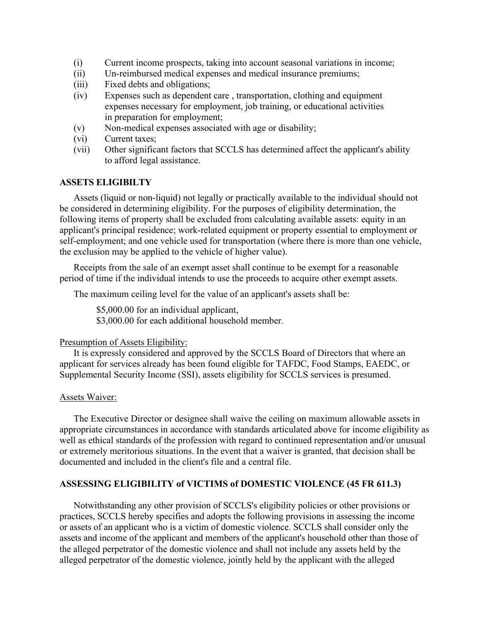- (i) Current income prospects, taking into account seasonal variations in income;
- (ii) Un-reimbursed medical expenses and medical insurance premiums;
- (iii) Fixed debts and obligations;
- (iv) Expenses such as dependent care , transportation, clothing and equipment expenses necessary for employment, job training, or educational activities in preparation for employment;
- (v) Non-medical expenses associated with age or disability;
- (vi) Current taxes;
- (vii) Other significant factors that SCCLS has determined affect the applicant's ability to afford legal assistance.

#### **ASSETS ELIGIBILTY**

Assets (liquid or non-liquid) not legally or practically available to the individual should not be considered in determining eligibility. For the purposes of eligibility determination, the following items of property shall be excluded from calculating available assets: equity in an applicant's principal residence; work-related equipment or property essential to employment or self-employment; and one vehicle used for transportation (where there is more than one vehicle, the exclusion may be applied to the vehicle of higher value).

Receipts from the sale of an exempt asset shall continue to be exempt for a reasonable period of time if the individual intends to use the proceeds to acquire other exempt assets.

The maximum ceiling level for the value of an applicant's assets shall be:

\$5,000.00 for an individual applicant, \$3,000.00 for each additional household member.

#### Presumption of Assets Eligibility:

It is expressly considered and approved by the SCCLS Board of Directors that where an applicant for services already has been found eligible for TAFDC, Food Stamps, EAEDC, or Supplemental Security Income (SSI), assets eligibility for SCCLS services is presumed.

#### Assets Waiver:

The Executive Director or designee shall waive the ceiling on maximum allowable assets in appropriate circumstances in accordance with standards articulated above for income eligibility as well as ethical standards of the profession with regard to continued representation and/or unusual or extremely meritorious situations. In the event that a waiver is granted, that decision shall be documented and included in the client's file and a central file.

#### **ASSESSING ELIGIBILITY of VICTIMS of DOMESTIC VIOLENCE (45 FR 611.3)**

Notwithstanding any other provision of SCCLS's eligibility policies or other provisions or practices, SCCLS hereby specifies and adopts the following provisions in assessing the income or assets of an applicant who is a victim of domestic violence. SCCLS shall consider only the assets and income of the applicant and members of the applicant's household other than those of the alleged perpetrator of the domestic violence and shall not include any assets held by the alleged perpetrator of the domestic violence, jointly held by the applicant with the alleged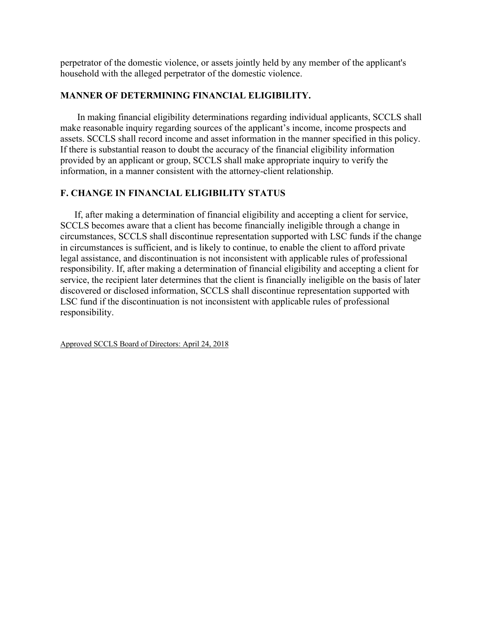perpetrator of the domestic violence, or assets jointly held by any member of the applicant's household with the alleged perpetrator of the domestic violence.

#### **MANNER OF DETERMINING FINANCIAL ELIGIBILITY.**

In making financial eligibility determinations regarding individual applicants, SCCLS shall make reasonable inquiry regarding sources of the applicant's income, income prospects and assets. SCCLS shall record income and asset information in the manner specified in this policy. If there is substantial reason to doubt the accuracy of the financial eligibility information provided by an applicant or group, SCCLS shall make appropriate inquiry to verify the information, in a manner consistent with the attorney-client relationship.

### **F. CHANGE IN FINANCIAL ELIGIBILITY STATUS**

If, after making a determination of financial eligibility and accepting a client for service, SCCLS becomes aware that a client has become financially ineligible through a change in circumstances, SCCLS shall discontinue representation supported with LSC funds if the change in circumstances is sufficient, and is likely to continue, to enable the client to afford private legal assistance, and discontinuation is not inconsistent with applicable rules of professional responsibility. If, after making a determination of financial eligibility and accepting a client for service, the recipient later determines that the client is financially ineligible on the basis of later discovered or disclosed information, SCCLS shall discontinue representation supported with LSC fund if the discontinuation is not inconsistent with applicable rules of professional responsibility.

Approved SCCLS Board of Directors: April 24, 2018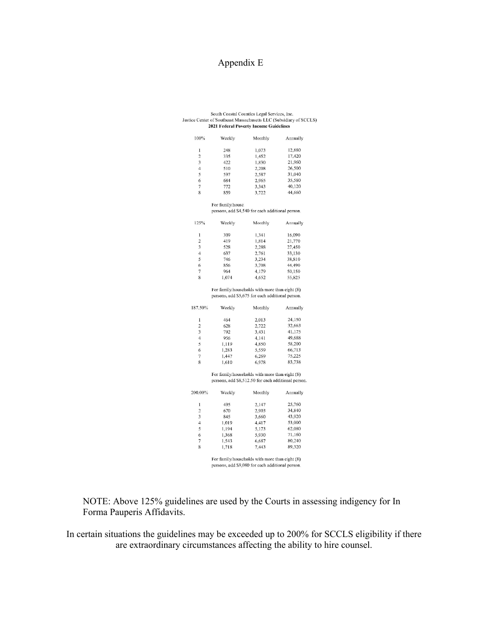# Appendix E

#### South Coastal Counties Legal Services, Inc. Justice Center of Southeast Massachusetts LLC (Subsidiary of SCCLS) 2021 Federal Poverty Income Guidelines

| 100%                    | Weekly                                           | Monthly | Annually |
|-------------------------|--------------------------------------------------|---------|----------|
| 1                       | 248                                              | 1,073   | 12,880   |
| $\overline{2}$          | 335                                              | 1,452   | 17,420   |
| $\overline{\mathbf{3}}$ | 422                                              | 1.830   | 21,960   |
| $\overline{4}$          | 510                                              | 2,208   | 26,500   |
| 5                       | 597                                              | 2,587   | 31,040   |
| 6                       | 684                                              | 2,965   | 35,580   |
| $\overline{7}$          | 772                                              | 3,343   | 40,120   |
| 8                       | 859                                              | 3,722   | 44,660   |
|                         | For family/house                                 |         |          |
|                         | persons, add \$4,540 for each additional person. |         |          |
| 125%                    | Weekly                                           | Monthly | Annually |
| 1                       | 309                                              | 1,341   | 16,090   |
| $\overline{2}$          | 419                                              | 1,814   | 21,770   |
| 3                       | 528                                              | 2,288   | 27,450   |
| 4                       | 637                                              | 2,761   | 33,130   |
| 5                       | 746                                              | 3,234   | 38,810   |

For family/households with more than eight (8) persons, add \$5,675 for each additional person.

3,708

4,179

4,652

44,490

 $50,150$ 

55,825

| 187.50%        | Weekly | Monthly | Annually |
|----------------|--------|---------|----------|
| 1              | 464    | 2,013   | 24,150   |
| $\overline{2}$ | 628    | 2,722   | 32,663   |
| 3              | 792    | 3,431   | 41,175   |
| $\overline{4}$ | 956    | 4.141   | 49,688   |
| 5              | 1.119  | 4,850   | 58,200   |
| 6              | 1,283  | 5,559   | 66,713   |
| 7              | 1.447  | 6,269   | 75,225   |
| 8              | 1.610  | 6.978   | 83.738   |

 $\begin{array}{c} 6 \\ 7 \end{array}$ 

 $\overline{\mathbf{x}}$ 

856

964

1,074

For family/households with more than eight (8) persons, add \$8,512.50 for each additional person.

| 200.00%        | Weekly | Monthly | Annually |
|----------------|--------|---------|----------|
| 1              | 495    | 2,147   | 25,760   |
| $\overline{2}$ | 670    | 2,903   | 34,840   |
| 3              | 845    | 3,660   | 43,920   |
| 4              | 1,019  | 4,417   | 53,000   |
| 5              | 1,194  | 5,173   | 62,080   |
| 6              | 1,368  | 5,930   | 71,160   |
| 7              | 1,543  | 6,687   | 80,240   |
| 8              | 1,718  | 7.443   | 89,320   |

For family/households with more than eight (8) persons, add \$9,080 for each additional person.

NOTE: Above 125% guidelines are used by the Courts in assessing indigency for In Forma Pauperis Affidavits.

In certain situations the guidelines may be exceeded up to 200% for SCCLS eligibility if there are extraordinary circumstances affecting the ability to hire counsel.